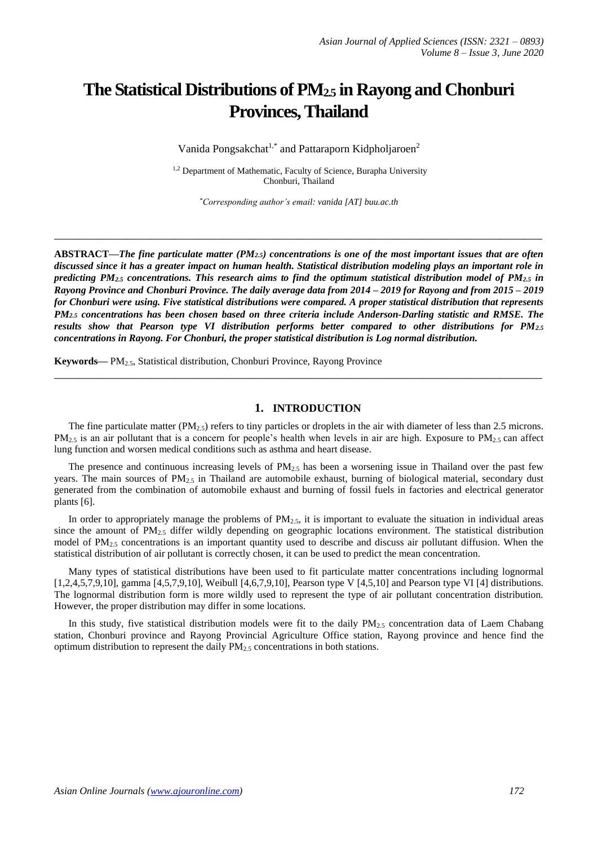# **The Statistical Distributions of PM2.5 in Rayong and Chonburi Provinces, Thailand**

Vanida Pongsakchat<sup>1,\*</sup> and Pattaraporn Kidpholjaroen<sup>2</sup>

<sup>1,2</sup> Department of Mathematic, Faculty of Science, Burapha University Chonburi, Thailand

*\*Corresponding author's email: vanida [AT] buu.ac.th*

**\_\_\_\_\_\_\_\_\_\_\_\_\_\_\_\_\_\_\_\_\_\_\_\_\_\_\_\_\_\_\_\_\_\_\_\_\_\_\_\_\_\_\_\_\_\_\_\_\_\_\_\_\_\_\_\_\_\_\_\_\_\_\_\_\_\_\_\_\_\_\_\_\_\_\_\_\_\_\_\_\_**

**ABSTRACT—***The fine particulate matter (PM2.5) concentrations is one of the most important issues that are often discussed since it has a greater impact on human health. Statistical distribution modeling plays an important role in predicting PM2.5 concentrations. This research aims to find the optimum statistical distribution model of PM2.5 in Rayong Province and Chonburi Province. The daily average data from 2014 – 2019 for Rayong and from 2015 – 2019 for Chonburi were using. Five statistical distributions were compared. A proper statistical distribution that represents PM2.5 concentrations has been chosen based on three criteria include Anderson-Darling statistic and RMSE. The results show that Pearson type VI distribution performs better compared to other distributions for PM2.5 concentrations in Rayong. For Chonburi, the proper statistical distribution is Log normal distribution.*

**Keywords—** PM2.5, Statistical distribution, Chonburi Province, Rayong Province

#### **1. INTRODUCTION**

The fine particulate matter (PM<sub>2.5</sub>) refers to tiny particles or droplets in the air with diameter of less than 2.5 microns.  $PM_{2.5}$  is an air pollutant that is a concern for people's health when levels in air are high. Exposure to  $PM_{2.5}$  can affect lung function and worsen medical conditions such as asthma and heart disease.

**\_\_\_\_\_\_\_\_\_\_\_\_\_\_\_\_\_\_\_\_\_\_\_\_\_\_\_\_\_\_\_\_\_\_\_\_\_\_\_\_\_\_\_\_\_\_\_\_\_\_\_\_\_\_\_\_\_\_\_\_\_\_\_\_\_\_\_\_\_\_\_\_\_\_\_\_\_\_\_\_\_**

The presence and continuous increasing levels of  $PM<sub>2.5</sub>$  has been a worsening issue in Thailand over the past few years. The main sources of  $PM_{2.5}$  in Thailand are automobile exhaust, burning of biological material, secondary dust generated from the combination of automobile exhaust and burning of fossil fuels in factories and electrical generator plants [6].

In order to appropriately manage the problems of  $PM_{2.5}$ , it is important to evaluate the situation in individual areas since the amount of  $PM_{2.5}$  differ wildly depending on geographic locations environment. The statistical distribution model of PM<sub>2.5</sub> concentrations is an important quantity used to describe and discuss air pollutant diffusion. When the statistical distribution of air pollutant is correctly chosen, it can be used to predict the mean concentration.

Many types of statistical distributions have been used to fit particulate matter concentrations including lognormal [1,2,4,5,7,9,10], gamma [4,5,7,9,10], Weibull [4,6,7,9,10], Pearson type V [4,5,10] and Pearson type VI [4] distributions. The lognormal distribution form is more wildly used to represent the type of air pollutant concentration distribution. However, the proper distribution may differ in some locations.

In this study, five statistical distribution models were fit to the daily PM<sub>2.5</sub> concentration data of Laem Chabang station, Chonburi province and Rayong Provincial Agriculture Office station, Rayong province and hence find the optimum distribution to represent the daily  $PM_{2.5}$  concentrations in both stations.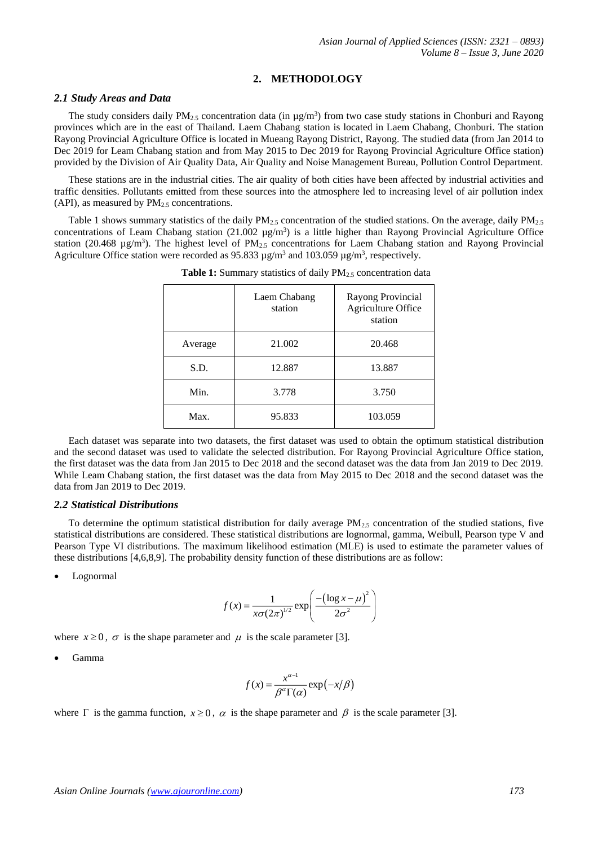# **2. METHODOLOGY**

### *2.1 Study Areas and Data*

The study considers daily  $PM_{2.5}$  concentration data (in  $\mu g/m^3$ ) from two case study stations in Chonburi and Rayong provinces which are in the east of Thailand. Laem Chabang station is located in Laem Chabang, Chonburi. The station Rayong Provincial Agriculture Office is located in Mueang Rayong District, Rayong. The studied data (from Jan 2014 to Dec 2019 for Leam Chabang station and from May 2015 to Dec 2019 for Rayong Provincial Agriculture Office station) provided by the Division of Air Quality Data, Air Quality and Noise Management Bureau, Pollution Control Department.

These stations are in the industrial cities. The air quality of both cities have been affected by industrial activities and traffic densities. Pollutants emitted from these sources into the atmosphere led to increasing level of air pollution index (API), as measured by  $PM_{2.5}$  concentrations.

Table 1 shows summary statistics of the daily  $PM<sub>2.5</sub>$  concentration of the studied stations. On the average, daily  $PM<sub>2.5</sub>$ concentrations of Leam Chabang station  $(21.002 \text{ µg/m}^3)$  is a little higher than Rayong Provincial Agriculture Office station (20.468  $\mu$ g/m<sup>3</sup>). The highest level of PM<sub>2.5</sub> concentrations for Laem Chabang station and Rayong Provincial Agriculture Office station were recorded as 95.833  $\mu$ g/m<sup>3</sup> and 103.059  $\mu$ g/m<sup>3</sup>, respectively.

|         | Laem Chabang<br>station | Rayong Provincial<br>Agriculture Office<br>station |
|---------|-------------------------|----------------------------------------------------|
| Average | 21.002                  | 20.468                                             |
| S.D.    | 12.887                  | 13.887                                             |
| Min.    | 3.778                   | 3.750                                              |
| Max.    | 95.833                  | 103.059                                            |

**Table 1:** Summary statistics of daily PM<sub>2.5</sub> concentration data

Each dataset was separate into two datasets, the first dataset was used to obtain the optimum statistical distribution and the second dataset was used to validate the selected distribution. For Rayong Provincial Agriculture Office station, the first dataset was the data from Jan 2015 to Dec 2018 and the second dataset was the data from Jan 2019 to Dec 2019. While Leam Chabang station, the first dataset was the data from May 2015 to Dec 2018 and the second dataset was the data from Jan 2019 to Dec 2019.

#### *2.2 Statistical Distributions*

To determine the optimum statistical distribution for daily average  $PM_{2.5}$  concentration of the studied stations, five statistical distributions are considered. These statistical distributions are lognormal, gamma, Weibull, Pearson type V and Pearson Type VI distributions. The maximum likelihood estimation (MLE) is used to estimate the parameter values of these distributions [4,6,8,9]. The probability density function of these distributions are as follow:

Lognormal

$$
f(x) = \frac{1}{x\sigma(2\pi)^{1/2}} \exp\left(\frac{-\left(\log x - \mu\right)^2}{2\sigma^2}\right)
$$

where  $x \ge 0$ ,  $\sigma$  is the shape parameter and  $\mu$  is the scale parameter [3].

Gamma

$$
f(x) = \frac{x^{\alpha-1}}{\beta^{\alpha} \Gamma(\alpha)} \exp(-x/\beta)
$$

where  $\Gamma$  is the gamma function,  $x \ge 0$ ,  $\alpha$  is the shape parameter and  $\beta$  is the scale parameter [3].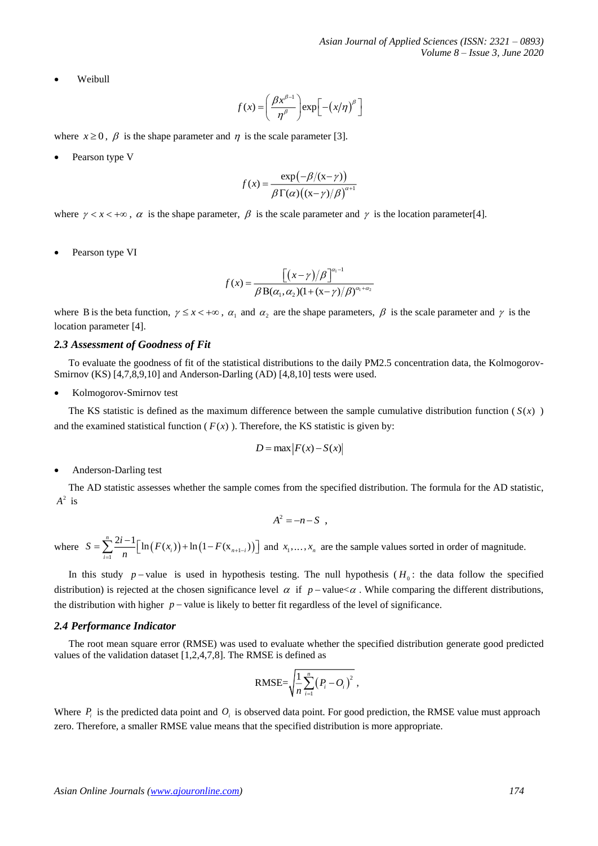Weibull

$$
f(x) = \left(\frac{\beta x^{\beta-1}}{\eta^{\beta}}\right) \exp\left[-\left(x/\eta\right)^{\beta}\right]
$$

where  $x \ge 0$ ,  $\beta$  is the shape parameter and  $\eta$  is the scale parameter [3].

Pearson type V

$$
f(x) = \frac{\exp(-\beta/(x-\gamma))}{\beta \Gamma(\alpha) ((x-\gamma)/\beta)^{\alpha+1}}
$$

where  $\gamma < x < +\infty$ ,  $\alpha$  is the shape parameter,  $\beta$  is the scale parameter and  $\gamma$  is the location parameter[4].

Pearson type VI

$$
f(x) = \frac{\left[ (x - \gamma)/\beta \right]^{a_1 - 1}}{\beta \, B(\alpha_1, \alpha_2) (1 + (x - \gamma)/\beta)^{a_1 + a_2}}
$$

where B is the beta function,  $\gamma \leq x < +\infty$ ,  $\alpha_1$  and  $\alpha_2$  are the shape parameters,  $\beta$  is the scale parameter and  $\gamma$  is the location parameter [4].

#### *2.3 Assessment of Goodness of Fit*

To evaluate the goodness of fit of the statistical distributions to the daily PM2.5 concentration data, the Kolmogorov-Smirnov (KS) [4,7,8,9,10] and Anderson-Darling (AD) [4,8,10] tests were used.

Kolmogorov-Smirnov test

The KS statistic is defined as the maximum difference between the sample cumulative distribution function  $(S(x))$ and the examined statistical function ( $F(x)$ ). Therefore, the KS statistic is given by:

$$
D = \max |F(x) - S(x)|
$$

Anderson-Darling test

The AD statistic assesses whether the sample comes from the specified distribution. The formula for the AD statistic,  $A^2$  is

$$
A^2 = -n - S ,
$$

where  $S = \sum_{i=1}^{n} \frac{2i-1}{n} \Big[ \ln (F(x_i)) + \ln (1 - F(x_{n+1-i})) \Big]$  $\sum_{i=1}^{\infty} n$   $\binom{n}{i}$   $\binom{n}{i}$   $\binom{n}{i}$   $\binom{n}{i}$  $S = \sum_{i=1}^{n} \frac{2i-1}{n} \Big[ \ln (F(x_i)) + \ln (1 - F(x_{n+1})) \Big]$  $=\sum_{n=1}^{\infty} \frac{2i-1}{n} \left[ \ln \left( F(x_i) \right) + \ln \left( 1 - F(x_{n+1-i}) \right) \right]$  and  $x_1, \ldots, x_n$  are the sample values sorted in order of magnitude.

In this study  $p$ -value is used in hypothesis testing. The null hypothesis  $(H_0:$  the data follow the specified distribution) is rejected at the chosen significance level  $\alpha$  if  $p$ -value $\alpha$ . While comparing the different distributions, the distribution with higher  $p$  – value is likely to better fit regardless of the level of significance.

#### *2.4 Performance Indicator*

The root mean square error (RMSE) was used to evaluate whether the specified distribution generate good predicted values of the validation dataset [1,2,4,7,8]. The RMSE is defined as

$$
\text{RMSE} = \sqrt{\frac{1}{n} \sum_{i=1}^{n} (P_i - O_i)^2},
$$

Where  $P_i$  is the predicted data point and  $O_i$  is observed data point. For good prediction, the RMSE value must approach zero. Therefore, a smaller RMSE value means that the specified distribution is more appropriate.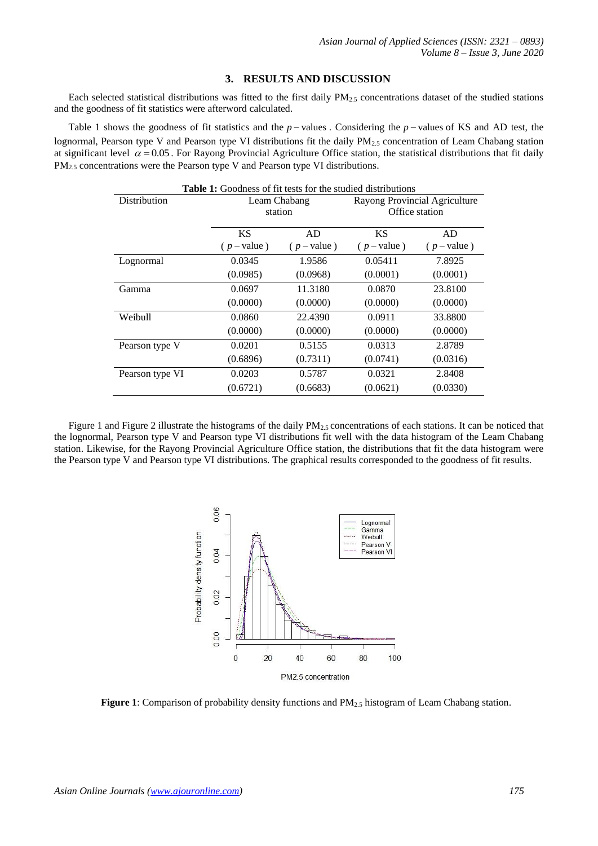## **3. RESULTS AND DISCUSSION**

Each selected statistical distributions was fitted to the first daily  $PM_{2.5}$  concentrations dataset of the studied stations and the goodness of fit statistics were afterword calculated.

Table 1 shows the goodness of fit statistics and the  $p$  – values. Considering the  $p$  – values of KS and AD test, the lognormal, Pearson type V and Pearson type VI distributions fit the daily PM<sub>2.5</sub> concentration of Leam Chabang station at significant level  $\alpha$  = 0.05. For Rayong Provincial Agriculture Office station, the statistical distributions that fit daily  $PM<sub>2.5</sub> concentrations were the Pearson type V and Pearson type VI distributions.$ 

| <b>Table 1:</b> Goodness of fit tests for the studied distributions |               |             |                               |             |  |
|---------------------------------------------------------------------|---------------|-------------|-------------------------------|-------------|--|
| Distribution                                                        | Leam Chabang  |             | Rayong Provincial Agriculture |             |  |
|                                                                     | station       |             | Office station                |             |  |
|                                                                     |               |             |                               |             |  |
|                                                                     | <b>KS</b>     | AD          | <b>KS</b>                     | AD          |  |
|                                                                     | $(p - value)$ | $(p-value)$ | $(p-value)$                   | $(p-value)$ |  |
| Lognormal                                                           | 0.0345        | 1.9586      | 0.05411                       | 7.8925      |  |
|                                                                     | (0.0985)      | (0.0968)    | (0.0001)                      | (0.0001)    |  |
| Gamma                                                               | 0.0697        | 11.3180     | 0.0870                        | 23.8100     |  |
|                                                                     | (0.0000)      | (0.0000)    | (0.0000)                      | (0.0000)    |  |
| Weibull                                                             | 0.0860        | 22.4390     | 0.0911                        | 33.8800     |  |
|                                                                     | (0.0000)      | (0.0000)    | (0.0000)                      | (0.0000)    |  |
| Pearson type V                                                      | 0.0201        | 0.5155      | 0.0313                        | 2.8789      |  |
|                                                                     | (0.6896)      | (0.7311)    | (0.0741)                      | (0.0316)    |  |
| Pearson type VI                                                     | 0.0203        | 0.5787      | 0.0321                        | 2.8408      |  |
|                                                                     | (0.6721)      | (0.6683)    | (0.0621)                      | (0.0330)    |  |

Figure 1 and Figure 2 illustrate the histograms of the daily  $PM_{2.5}$  concentrations of each stations. It can be noticed that the lognormal, Pearson type V and Pearson type VI distributions fit well with the data histogram of the Leam Chabang station. Likewise, for the Rayong Provincial Agriculture Office station, the distributions that fit the data histogram were the Pearson type V and Pearson type VI distributions. The graphical results corresponded to the goodness of fit results.



**Figure 1**: Comparison of probability density functions and PM<sub>2.5</sub> histogram of Leam Chabang station.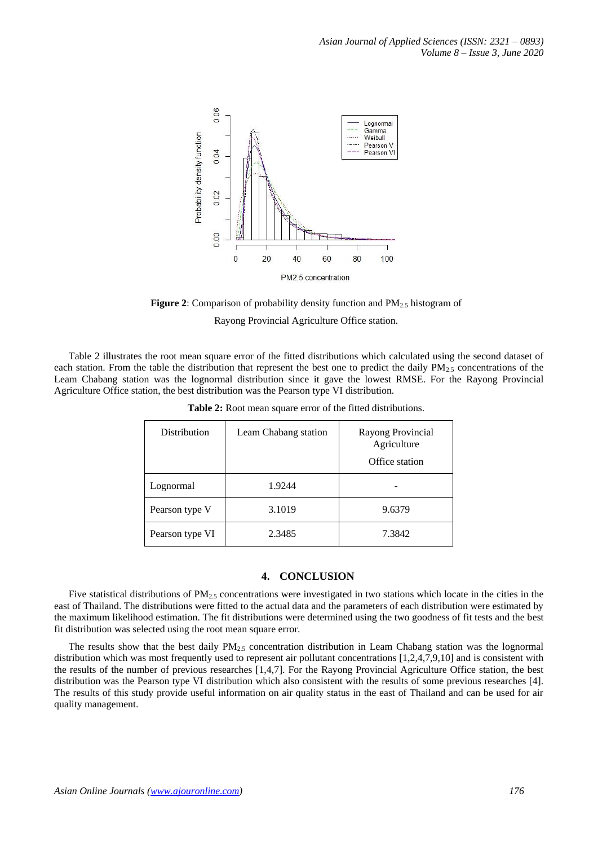

**Figure 2**: Comparison of probability density function and PM<sub>2.5</sub> histogram of

Rayong Provincial Agriculture Office station.

Table 2 illustrates the root mean square error of the fitted distributions which calculated using the second dataset of each station. From the table the distribution that represent the best one to predict the daily  $PM_{2.5}$  concentrations of the Leam Chabang station was the lognormal distribution since it gave the lowest RMSE. For the Rayong Provincial Agriculture Office station, the best distribution was the Pearson type VI distribution.

| Distribution    | Leam Chabang station | Rayong Provincial<br>Agriculture<br>Office station |
|-----------------|----------------------|----------------------------------------------------|
| Lognormal       | 1.9244               |                                                    |
| Pearson type V  | 3.1019               | 9.6379                                             |
| Pearson type VI | 2.3485               | 7.3842                                             |

**Table 2:** Root mean square error of the fitted distributions.

## **4. CONCLUSION**

Five statistical distributions of  $PM_{2.5}$  concentrations were investigated in two stations which locate in the cities in the east of Thailand. The distributions were fitted to the actual data and the parameters of each distribution were estimated by the maximum likelihood estimation. The fit distributions were determined using the two goodness of fit tests and the best fit distribution was selected using the root mean square error.

The results show that the best daily  $PM_{2.5}$  concentration distribution in Leam Chabang station was the lognormal distribution which was most frequently used to represent air pollutant concentrations [1,2,4,7,9,10] and is consistent with the results of the number of previous researches [1,4,7]. For the Rayong Provincial Agriculture Office station, the best distribution was the Pearson type VI distribution which also consistent with the results of some previous researches [4]. The results of this study provide useful information on air quality status in the east of Thailand and can be used for air quality management.